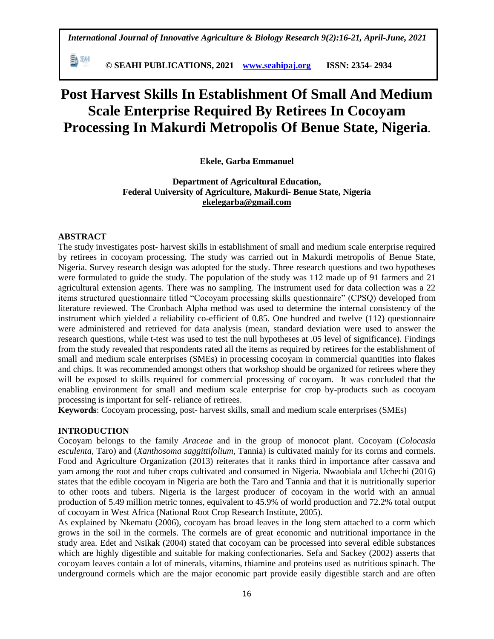**© SEAHI PUBLICATIONS, 2021 [www.seahipaj.org](http://www.seahipaj.org/) ISSN: 2354- 2934**

# **Post Harvest Skills In Establishment Of Small And Medium Scale Enterprise Required By Retirees In Cocoyam Processing In Makurdi Metropolis Of Benue State, Nigeria.**

# **Ekele, Garba Emmanuel**

**Department of Agricultural Education, Federal University of Agriculture, Makurdi- Benue State, Nigeria [ekelegarba@gmail.com](mailto:ekelegarba@gmail.com)**

# **ABSTRACT**

勤卿

The study investigates post- harvest skills in establishment of small and medium scale enterprise required by retirees in cocoyam processing. The study was carried out in Makurdi metropolis of Benue State, Nigeria. Survey research design was adopted for the study. Three research questions and two hypotheses were formulated to guide the study. The population of the study was 112 made up of 91 farmers and 21 agricultural extension agents. There was no sampling. The instrument used for data collection was a 22 items structured questionnaire titled "Cocoyam processing skills questionnaire" (CPSQ) developed from literature reviewed. The Cronbach Alpha method was used to determine the internal consistency of the instrument which yielded a reliability co-efficient of 0.85. One hundred and twelve (112) questionnaire were administered and retrieved for data analysis (mean, standard deviation were used to answer the research questions, while t-test was used to test the null hypotheses at .05 level of significance). Findings from the study revealed that respondents rated all the items as required by retirees for the establishment of small and medium scale enterprises (SMEs) in processing cocoyam in commercial quantities into flakes and chips. It was recommended amongst others that workshop should be organized for retirees where they will be exposed to skills required for commercial processing of cocoyam. It was concluded that the enabling environment for small and medium scale enterprise for crop by-products such as cocoyam processing is important for self- reliance of retirees.

**Keywords**: Cocoyam processing, post- harvest skills, small and medium scale enterprises (SMEs)

## **INTRODUCTION**

Cocoyam belongs to the family *Araceae* and in the group of monocot plant*.* Cocoyam (*Colocasia esculenta,* Taro) and (*Xanthosoma saggittifolium,* Tannia) is cultivated mainly for its corms and cormels. Food and Agriculture Organization (2013) reiterates that it ranks third in importance after cassava and yam among the root and tuber crops cultivated and consumed in Nigeria. Nwaobiala and Uchechi (2016) states that the edible cocoyam in Nigeria are both the Taro and Tannia and that it is nutritionally superior to other roots and tubers. Nigeria is the largest producer of cocoyam in the world with an annual production of 5.49 million metric tonnes, equivalent to 45.9% of world production and 72.2% total output of cocoyam in West Africa (National Root Crop Research Institute, 2005).

As explained by Nkematu (2006), cocoyam has broad leaves in the long stem attached to a corm which grows in the soil in the cormels. The cormels are of great economic and nutritional importance in the study area. Edet and Nsikak (2004) stated that cocoyam can be processed into several edible substances which are highly digestible and suitable for making confectionaries. Sefa and Sackey (2002) asserts that cocoyam leaves contain a lot of minerals, vitamins, thiamine and proteins used as nutritious spinach. The underground cormels which are the major economic part provide easily digestible starch and are often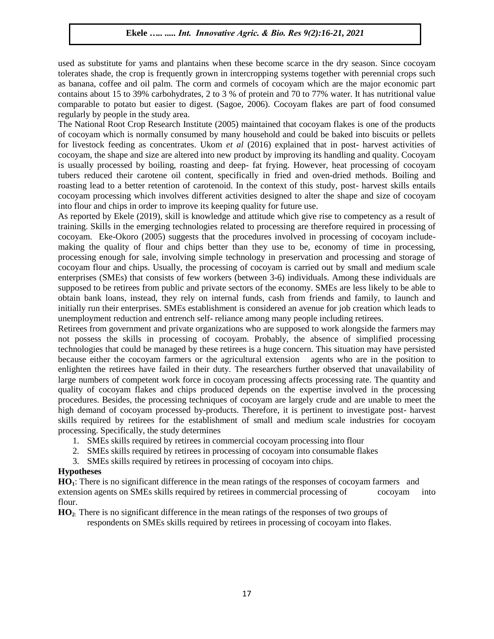used as substitute for yams and plantains when these become scarce in the dry season. Since cocoyam tolerates shade, the crop is frequently grown in intercropping systems together with perennial crops such as banana, coffee and oil palm. The corm and cormels of cocoyam which are the major economic part contains about 15 to 39% carbohydrates, 2 to 3 % of protein and 70 to 77% water. It has nutritional value comparable to potato but easier to digest. (Sagoe, 2006). Cocoyam flakes are part of food consumed regularly by people in the study area.

The National Root Crop Research Institute (2005) maintained that cocoyam flakes is one of the products of cocoyam which is normally consumed by many household and could be baked into biscuits or pellets for livestock feeding as concentrates. Ukom *et al* (2016) explained that in post- harvest activities of cocoyam, the shape and size are altered into new product by improving its handling and quality. Cocoyam is usually processed by boiling, roasting and deep- fat frying. However, heat processing of cocoyam tubers reduced their carotene oil content, specifically in fried and oven-dried methods. Boiling and roasting lead to a better retention of carotenoid. In the context of this study, post- harvest skills entails cocoyam processing which involves different activities designed to alter the shape and size of cocoyam into flour and chips in order to improve its keeping quality for future use.

As reported by Ekele (2019), skill is knowledge and attitude which give rise to competency as a result of training. Skills in the emerging technologies related to processing are therefore required in processing of cocoyam. Eke-Okoro (2005) suggests that the procedures involved in processing of cocoyam includemaking the quality of flour and chips better than they use to be, economy of time in processing, processing enough for sale, involving simple technology in preservation and processing and storage of cocoyam flour and chips. Usually, the processing of cocoyam is carried out by small and medium scale enterprises (SMEs) that consists of few workers (between 3-6) individuals. Among these individuals are supposed to be retirees from public and private sectors of the economy. SMEs are less likely to be able to obtain bank loans, instead, they rely on internal funds, cash from friends and family, to launch and initially run their enterprises. SMEs establishment is considered an avenue for job creation which leads to unemployment reduction and entrench self- reliance among many people including retirees.

Retirees from government and private organizations who are supposed to work alongside the farmers may not possess the skills in processing of cocoyam. Probably, the absence of simplified processing technologies that could be managed by these retirees is a huge concern. This situation may have persisted because either the cocoyam farmers or the agricultural extension agents who are in the position to enlighten the retirees have failed in their duty. The researchers further observed that unavailability of large numbers of competent work force in cocoyam processing affects processing rate. The quantity and quality of cocoyam flakes and chips produced depends on the expertise involved in the processing procedures. Besides, the processing techniques of cocoyam are largely crude and are unable to meet the high demand of cocoyam processed by-products. Therefore, it is pertinent to investigate post- harvest skills required by retirees for the establishment of small and medium scale industries for cocoyam processing. Specifically, the study determines

- 1. SMEs skills required by retirees in commercial cocoyam processing into flour
- 2. SMEs skills required by retirees in processing of cocoyam into consumable flakes
- 3. SMEs skills required by retirees in processing of cocoyam into chips.

# **Hypotheses**

**HO1**: There is no significant difference in the mean ratings of the responses of cocoyam farmers and extension agents on SMEs skills required by retirees in commercial processing of cocoyam into flour.

**HO2**: There is no significant difference in the mean ratings of the responses of two groups of respondents on SMEs skills required by retirees in processing of cocoyam into flakes.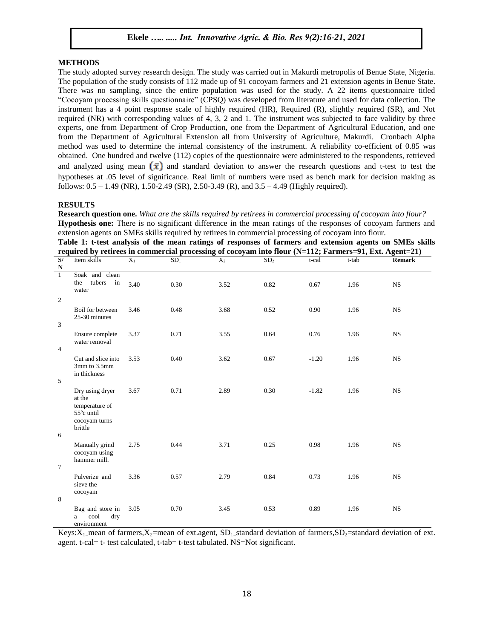## **METHODS**

The study adopted survey research design. The study was carried out in Makurdi metropolis of Benue State, Nigeria. The population of the study consists of 112 made up of 91 cocoyam farmers and 21 extension agents in Benue State. There was no sampling, since the entire population was used for the study. A 22 items questionnaire titled "Cocoyam processing skills questionnaire" (CPSQ) was developed from literature and used for data collection. The instrument has a 4 point response scale of highly required (HR), Required (R), slightly required (SR), and Not required (NR) with corresponding values of 4, 3, 2 and 1. The instrument was subjected to face validity by three experts, one from Department of Crop Production, one from the Department of Agricultural Education, and one from the Department of Agricultural Extension all from University of Agriculture, Makurdi. Cronbach Alpha method was used to determine the internal consistency of the instrument. A reliability co-efficient of 0.85 was obtained. One hundred and twelve (112) copies of the questionnaire were administered to the respondents, retrieved and analyzed using mean  $(\bar{x})$  and standard deviation to answer the research questions and t-test to test the hypotheses at .05 level of significance. Real limit of numbers were used as bench mark for decision making as follows: 0.5 – 1.49 (NR), 1.50-2.49 (SR), 2.50-3.49 (R), and 3.5 – 4.49 (Highly required).

#### **RESULTS**

**Research question one.** *What are the skills required by retirees in commercial processing of cocoyam into flour?* **Hypothesis one:** There is no significant difference in the mean ratings of the responses of cocoyam farmers and extension agents on SMEs skills required by retirees in commercial processing of cocoyam into flour.

**Table 1: t-test analysis of the mean ratings of responses of farmers and extension agents on SMEs skills required by retirees in commercial processing of cocoyam into flour (N=112; Farmers=91, Ext. Agent=21)**

| S/<br>${\bf N}$                  | Item skills                                                                           | $X_1$ | SD <sub>1</sub> | $\overline{X_2}$ | SD <sub>2</sub> | t-cal   | t-tab | <b>Remark</b> |
|----------------------------------|---------------------------------------------------------------------------------------|-------|-----------------|------------------|-----------------|---------|-------|---------------|
| $\mathbf{1}$                     | Soak and clean<br>tubers<br>the<br>in<br>water                                        | 3.40  | 0.30            | 3.52             | 0.82            | 0.67    | 1.96  | $_{\rm NS}$   |
| $\overline{2}$<br>$\overline{3}$ | Boil for between<br>25-30 minutes                                                     | 3.46  | 0.48            | 3.68             | 0.52            | 0.90    | 1.96  | <b>NS</b>     |
| $\overline{4}$                   | Ensure complete<br>water removal                                                      | 3.37  | 0.71            | 3.55             | 0.64            | 0.76    | 1.96  | <b>NS</b>     |
| 5                                | Cut and slice into<br>3mm to 3.5mm<br>in thickness                                    | 3.53  | 0.40            | 3.62             | 0.67            | $-1.20$ | 1.96  | <b>NS</b>     |
|                                  | Dry using dryer<br>at the<br>temperature of<br>55°c until<br>cocoyam turns<br>brittle | 3.67  | 0.71            | 2.89             | 0.30            | $-1.82$ | 1.96  | <b>NS</b>     |
| 6<br>$\tau$                      | Manually grind<br>cocoyam using<br>hammer mill.                                       | 2.75  | 0.44            | 3.71             | 0.25            | 0.98    | 1.96  | <b>NS</b>     |
| 8                                | Pulverize and<br>sieve the<br>cocoyam                                                 | 3.36  | 0.57            | 2.79             | 0.84            | 0.73    | 1.96  | <b>NS</b>     |
|                                  | Bag and store in<br>cool<br>dry<br>a<br>environment                                   | 3.05  | 0.70            | 3.45             | 0.53            | 0.89    | 1.96  | <b>NS</b>     |

Keys:  $X_1$ =mean of farmers,  $X_2$ =mean of ext.agent, SD<sub>1</sub>=standard deviation of farmers, SD<sub>2</sub>=standard deviation of ext. agent. t-cal= t- test calculated, t-tab= t-test tabulated. NS=Not significant.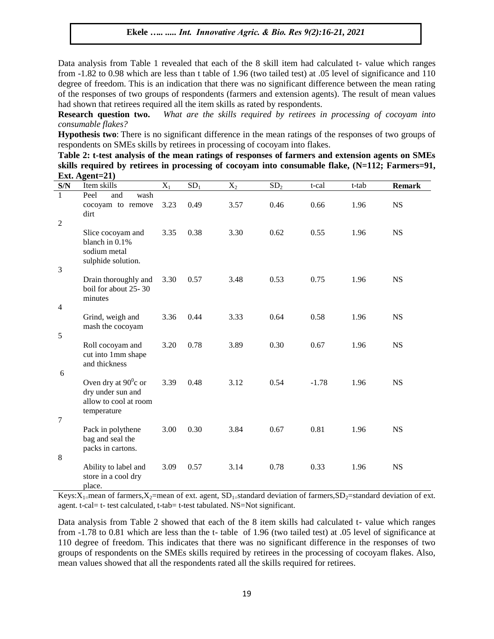Data analysis from Table 1 revealed that each of the 8 skill item had calculated t- value which ranges from -1.82 to 0.98 which are less than t table of 1.96 (two tailed test) at .05 level of significance and 110 degree of freedom. This is an indication that there was no significant difference between the mean rating of the responses of two groups of respondents (farmers and extension agents). The result of mean values had shown that retirees required all the item skills as rated by respondents.

**Research question two.** *What are the skills required by retirees in processing of cocoyam into consumable flakes?*

**Hypothesis two**: There is no significant difference in the mean ratings of the responses of two groups of respondents on SMEs skills by retirees in processing of cocoyam into flakes.

**Table 2: t-test analysis of the mean ratings of responses of farmers and extension agents on SMEs skills required by retirees in processing of cocoyam into consumable flake, (N=112; Farmers=91, Ext. Agent=21)**

| S/N                            | Item skills                                                                              | $X_1$ | SD <sub>1</sub> | $X_2$ | SD <sub>2</sub> | t-cal   | t-tab | <b>Remark</b> |
|--------------------------------|------------------------------------------------------------------------------------------|-------|-----------------|-------|-----------------|---------|-------|---------------|
| $\mathbf{1}$<br>$\overline{2}$ | Peel<br>wash<br>and<br>cocoyam to remove<br>dirt                                         | 3.23  | 0.49            | 3.57  | 0.46            | 0.66    | 1.96  | <b>NS</b>     |
| 3                              | Slice cocoyam and<br>blanch in 0.1%<br>sodium metal<br>sulphide solution.                | 3.35  | 0.38            | 3.30  | 0.62            | 0.55    | 1.96  | <b>NS</b>     |
| 4                              | Drain thoroughly and<br>boil for about 25-30<br>minutes                                  | 3.30  | 0.57            | 3.48  | 0.53            | 0.75    | 1.96  | <b>NS</b>     |
| 5                              | Grind, weigh and<br>mash the cocoyam                                                     | 3.36  | 0.44            | 3.33  | 0.64            | 0.58    | 1.96  | <b>NS</b>     |
| 6                              | Roll cocoyam and<br>cut into 1mm shape<br>and thickness                                  | 3.20  | 0.78            | 3.89  | 0.30            | 0.67    | 1.96  | <b>NS</b>     |
| $\tau$                         | Oven dry at $90^\circ$ c or<br>dry under sun and<br>allow to cool at room<br>temperature | 3.39  | 0.48            | 3.12  | 0.54            | $-1.78$ | 1.96  | <b>NS</b>     |
| 8                              | Pack in polythene<br>bag and seal the<br>packs in cartons.                               | 3.00  | 0.30            | 3.84  | 0.67            | 0.81    | 1.96  | <b>NS</b>     |
|                                | Ability to label and<br>store in a cool dry<br>place.                                    | 3.09  | 0.57            | 3.14  | 0.78            | 0.33    | 1.96  | <b>NS</b>     |

Keys:  $X_{1}$ =mean of farmers,  $X_{2}$ =mean of ext. agent, SD<sub>1</sub>=standard deviation of farmers, SD<sub>2</sub>=standard deviation of ext. agent. t-cal= t- test calculated, t-tab= t-test tabulated. NS=Not significant.

Data analysis from Table 2 showed that each of the 8 item skills had calculated t- value which ranges from -1.78 to 0.81 which are less than the t- table of 1.96 (two tailed test) at .05 level of significance at 110 degree of freedom. This indicates that there was no significant difference in the responses of two groups of respondents on the SMEs skills required by retirees in the processing of cocoyam flakes. Also, mean values showed that all the respondents rated all the skills required for retirees.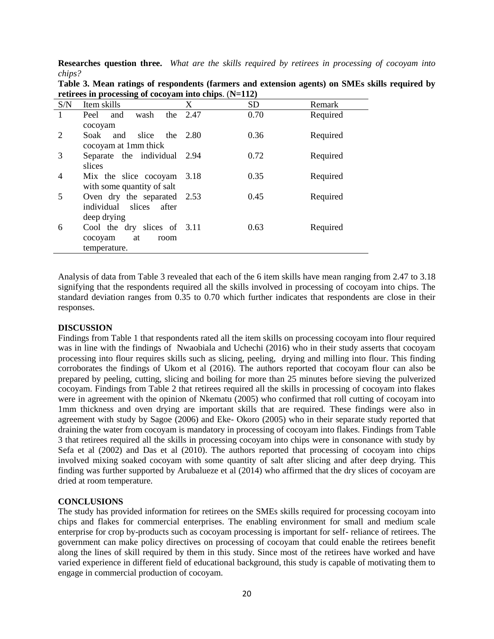**Researches question three.** *What are the skills required by retirees in processing of cocoyam into chips?*

| S/N | Item skills                      | X    | <b>SD</b> | Remark   |
|-----|----------------------------------|------|-----------|----------|
|     | wash<br>and<br>the<br>Peel       | 2.47 | 0.70      | Required |
|     | cocoyam                          |      |           |          |
| 2   | Soak<br>and<br>slice<br>the 2.80 |      | 0.36      | Required |
|     | cocoyam at 1mm thick             |      |           |          |
| 3   | Separate the individual 2.94     |      | 0.72      | Required |
|     | slices                           |      |           |          |
| 4   | Mix the slice cocoyam            | 3.18 | 0.35      | Required |
|     | with some quantity of salt       |      |           |          |
| 5   | Oven dry the separated 2.53      |      | 0.45      | Required |
|     | individual slices<br>after       |      |           |          |
|     | deep drying                      |      |           |          |
| 6   | Cool the dry slices of 3.11      |      | 0.63      | Required |
|     | cocoyam<br>at<br>room            |      |           |          |
|     | temperature.                     |      |           |          |

**Table 3. Mean ratings of respondents (farmers and extension agents) on SMEs skills required by retirees in processing of cocoyam into chips**. (**N=112)**

Analysis of data from Table 3 revealed that each of the 6 item skills have mean ranging from 2.47 to 3.18 signifying that the respondents required all the skills involved in processing of cocoyam into chips. The standard deviation ranges from 0.35 to 0.70 which further indicates that respondents are close in their responses.

## **DISCUSSION**

Findings from Table 1 that respondents rated all the item skills on processing cocoyam into flour required was in line with the findings of Nwaobiala and Uchechi (2016) who in their study asserts that cocoyam processing into flour requires skills such as slicing, peeling, drying and milling into flour. This finding corroborates the findings of Ukom et al (2016). The authors reported that cocoyam flour can also be prepared by peeling, cutting, slicing and boiling for more than 25 minutes before sieving the pulverized cocoyam. Findings from Table 2 that retirees required all the skills in processing of cocoyam into flakes were in agreement with the opinion of Nkematu (2005) who confirmed that roll cutting of cocoyam into 1mm thickness and oven drying are important skills that are required. These findings were also in agreement with study by Sagoe (2006) and Eke- Okoro (2005) who in their separate study reported that draining the water from cocoyam is mandatory in processing of cocoyam into flakes. Findings from Table 3 that retirees required all the skills in processing cocoyam into chips were in consonance with study by Sefa et al (2002) and Das et al (2010). The authors reported that processing of cocoyam into chips involved mixing soaked cocoyam with some quantity of salt after slicing and after deep drying. This finding was further supported by Arubalueze et al (2014) who affirmed that the dry slices of cocoyam are dried at room temperature.

## **CONCLUSIONS**

The study has provided information for retirees on the SMEs skills required for processing cocoyam into chips and flakes for commercial enterprises. The enabling environment for small and medium scale enterprise for crop by-products such as cocoyam processing is important for self- reliance of retirees. The government can make policy directives on processing of cocoyam that could enable the retirees benefit along the lines of skill required by them in this study. Since most of the retirees have worked and have varied experience in different field of educational background, this study is capable of motivating them to engage in commercial production of cocoyam.